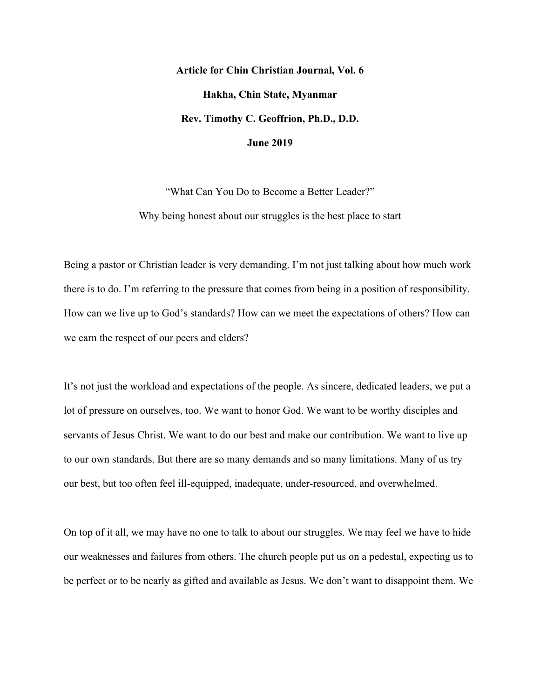**Article for Chin Christian Journal, Vol. 6 Hakha, Chin State, Myanmar Rev. Timothy C. Geoffrion, Ph.D., D.D. June 2019**

"What Can You Do to Become a Better Leader?" Why being honest about our struggles is the best place to start

Being a pastor or Christian leader is very demanding. I'm not just talking about how much work there is to do. I'm referring to the pressure that comes from being in a position of responsibility. How can we live up to God's standards? How can we meet the expectations of others? How can we earn the respect of our peers and elders?

It's not just the workload and expectations of the people. As sincere, dedicated leaders, we put a lot of pressure on ourselves, too. We want to honor God. We want to be worthy disciples and servants of Jesus Christ. We want to do our best and make our contribution. We want to live up to our own standards. But there are so many demands and so many limitations. Many of us try our best, but too often feel ill-equipped, inadequate, under-resourced, and overwhelmed.

On top of it all, we may have no one to talk to about our struggles. We may feel we have to hide our weaknesses and failures from others. The church people put us on a pedestal, expecting us to be perfect or to be nearly as gifted and available as Jesus. We don't want to disappoint them. We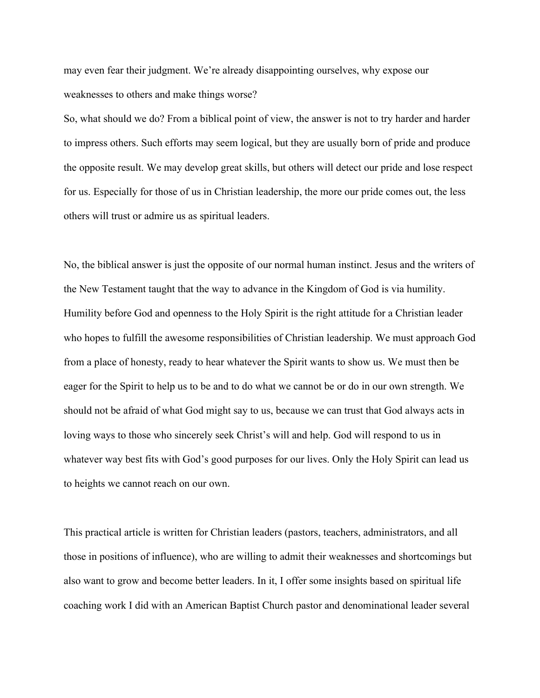may even fear their judgment. We're already disappointing ourselves, why expose our weaknesses to others and make things worse?

So, what should we do? From a biblical point of view, the answer is not to try harder and harder to impress others. Such efforts may seem logical, but they are usually born of pride and produce the opposite result. We may develop great skills, but others will detect our pride and lose respect for us. Especially for those of us in Christian leadership, the more our pride comes out, the less others will trust or admire us as spiritual leaders.

No, the biblical answer is just the opposite of our normal human instinct. Jesus and the writers of the New Testament taught that the way to advance in the Kingdom of God is via humility. Humility before God and openness to the Holy Spirit is the right attitude for a Christian leader who hopes to fulfill the awesome responsibilities of Christian leadership. We must approach God from a place of honesty, ready to hear whatever the Spirit wants to show us. We must then be eager for the Spirit to help us to be and to do what we cannot be or do in our own strength. We should not be afraid of what God might say to us, because we can trust that God always acts in loving ways to those who sincerely seek Christ's will and help. God will respond to us in whatever way best fits with God's good purposes for our lives. Only the Holy Spirit can lead us to heights we cannot reach on our own.

This practical article is written for Christian leaders (pastors, teachers, administrators, and all those in positions of influence), who are willing to admit their weaknesses and shortcomings but also want to grow and become better leaders. In it, I offer some insights based on spiritual life coaching work I did with an American Baptist Church pastor and denominational leader several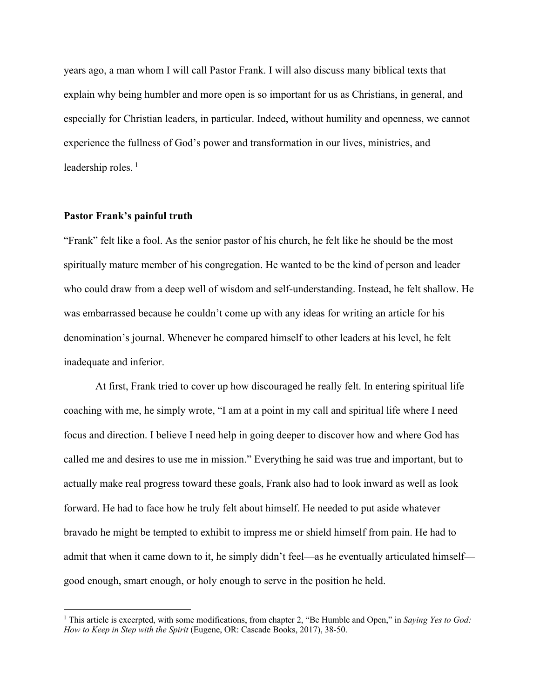years ago, a man whom I will call Pastor Frank. I will also discuss many biblical texts that explain why being humbler and more open is so important for us as Christians, in general, and especially for Christian leaders, in particular. Indeed, without humility and openness, we cannot experience the fullness of God's power and transformation in our lives, ministries, and leadership roles.<sup>1</sup>

# **Pastor Frank's painful truth**

 $\overline{a}$ 

"Frank" felt like a fool. As the senior pastor of his church, he felt like he should be the most spiritually mature member of his congregation. He wanted to be the kind of person and leader who could draw from a deep well of wisdom and self-understanding. Instead, he felt shallow. He was embarrassed because he couldn't come up with any ideas for writing an article for his denomination's journal. Whenever he compared himself to other leaders at his level, he felt inadequate and inferior.

At first, Frank tried to cover up how discouraged he really felt. In entering spiritual life coaching with me, he simply wrote, "I am at a point in my call and spiritual life where I need focus and direction. I believe I need help in going deeper to discover how and where God has called me and desires to use me in mission." Everything he said was true and important, but to actually make real progress toward these goals, Frank also had to look inward as well as look forward. He had to face how he truly felt about himself. He needed to put aside whatever bravado he might be tempted to exhibit to impress me or shield himself from pain. He had to admit that when it came down to it, he simply didn't feel—as he eventually articulated himself good enough, smart enough, or holy enough to serve in the position he held.

<sup>&</sup>lt;sup>1</sup> This article is excerpted, with some modifications, from chapter 2, "Be Humble and Open," in *Saying Yes to God*: *How to Keep in Step with the Spirit* (Eugene, OR: Cascade Books, 2017), 38-50.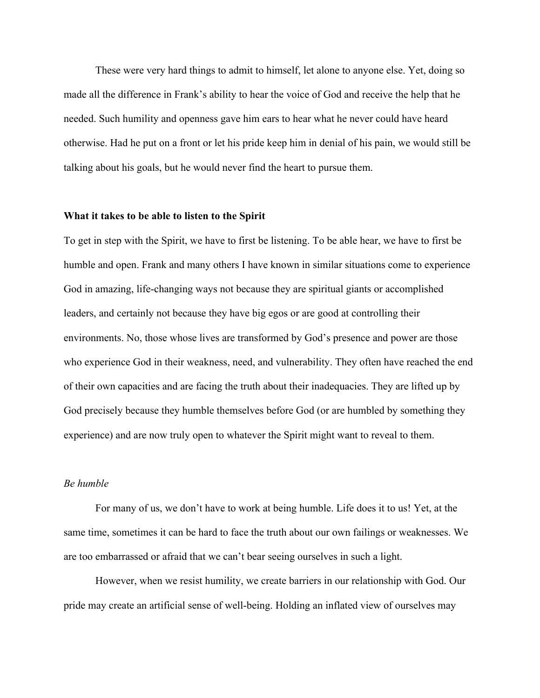These were very hard things to admit to himself, let alone to anyone else. Yet, doing so made all the difference in Frank's ability to hear the voice of God and receive the help that he needed. Such humility and openness gave him ears to hear what he never could have heard otherwise. Had he put on a front or let his pride keep him in denial of his pain, we would still be talking about his goals, but he would never find the heart to pursue them.

#### **What it takes to be able to listen to the Spirit**

To get in step with the Spirit, we have to first be listening. To be able hear, we have to first be humble and open. Frank and many others I have known in similar situations come to experience God in amazing, life-changing ways not because they are spiritual giants or accomplished leaders, and certainly not because they have big egos or are good at controlling their environments. No, those whose lives are transformed by God's presence and power are those who experience God in their weakness, need, and vulnerability. They often have reached the end of their own capacities and are facing the truth about their inadequacies. They are lifted up by God precisely because they humble themselves before God (or are humbled by something they experience) and are now truly open to whatever the Spirit might want to reveal to them.

## *Be humble*

For many of us, we don't have to work at being humble. Life does it to us! Yet, at the same time, sometimes it can be hard to face the truth about our own failings or weaknesses. We are too embarrassed or afraid that we can't bear seeing ourselves in such a light.

However, when we resist humility, we create barriers in our relationship with God. Our pride may create an artificial sense of well-being. Holding an inflated view of ourselves may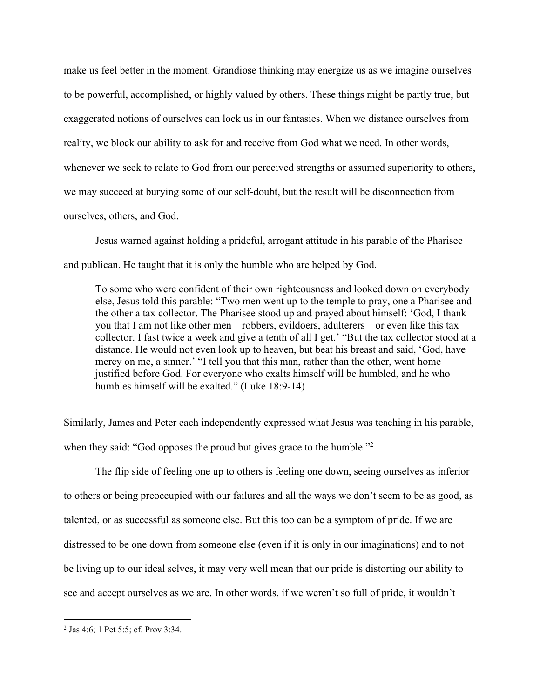make us feel better in the moment. Grandiose thinking may energize us as we imagine ourselves to be powerful, accomplished, or highly valued by others. These things might be partly true, but exaggerated notions of ourselves can lock us in our fantasies. When we distance ourselves from reality, we block our ability to ask for and receive from God what we need. In other words, whenever we seek to relate to God from our perceived strengths or assumed superiority to others, we may succeed at burying some of our self-doubt, but the result will be disconnection from ourselves, others, and God.

Jesus warned against holding a prideful, arrogant attitude in his parable of the Pharisee and publican. He taught that it is only the humble who are helped by God.

To some who were confident of their own righteousness and looked down on everybody else, Jesus told this parable: "Two men went up to the temple to pray, one a Pharisee and the other a tax collector. The Pharisee stood up and prayed about himself: 'God, I thank you that I am not like other men—robbers, evildoers, adulterers—or even like this tax collector. I fast twice a week and give a tenth of all I get.' "But the tax collector stood at a distance. He would not even look up to heaven, but beat his breast and said, 'God, have mercy on me, a sinner.' "I tell you that this man, rather than the other, went home justified before God. For everyone who exalts himself will be humbled, and he who humbles himself will be exalted." (Luke 18:9-14)

Similarly, James and Peter each independently expressed what Jesus was teaching in his parable, when they said: "God opposes the proud but gives grace to the humble."<sup>2</sup>

The flip side of feeling one up to others is feeling one down, seeing ourselves as inferior to others or being preoccupied with our failures and all the ways we don't seem to be as good, as talented, or as successful as someone else. But this too can be a symptom of pride. If we are distressed to be one down from someone else (even if it is only in our imaginations) and to not be living up to our ideal selves, it may very well mean that our pride is distorting our ability to see and accept ourselves as we are. In other words, if we weren't so full of pride, it wouldn't

<sup>2</sup> Jas 4:6; 1 Pet 5:5; cf. Prov 3:34.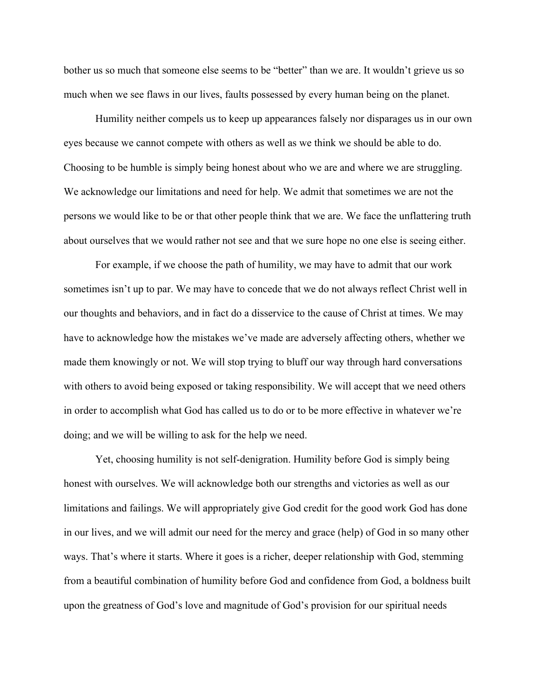bother us so much that someone else seems to be "better" than we are. It wouldn't grieve us so much when we see flaws in our lives, faults possessed by every human being on the planet.

Humility neither compels us to keep up appearances falsely nor disparages us in our own eyes because we cannot compete with others as well as we think we should be able to do. Choosing to be humble is simply being honest about who we are and where we are struggling. We acknowledge our limitations and need for help. We admit that sometimes we are not the persons we would like to be or that other people think that we are. We face the unflattering truth about ourselves that we would rather not see and that we sure hope no one else is seeing either.

For example, if we choose the path of humility, we may have to admit that our work sometimes isn't up to par. We may have to concede that we do not always reflect Christ well in our thoughts and behaviors, and in fact do a disservice to the cause of Christ at times. We may have to acknowledge how the mistakes we've made are adversely affecting others, whether we made them knowingly or not. We will stop trying to bluff our way through hard conversations with others to avoid being exposed or taking responsibility. We will accept that we need others in order to accomplish what God has called us to do or to be more effective in whatever we're doing; and we will be willing to ask for the help we need.

Yet, choosing humility is not self-denigration. Humility before God is simply being honest with ourselves. We will acknowledge both our strengths and victories as well as our limitations and failings. We will appropriately give God credit for the good work God has done in our lives, and we will admit our need for the mercy and grace (help) of God in so many other ways. That's where it starts. Where it goes is a richer, deeper relationship with God, stemming from a beautiful combination of humility before God and confidence from God, a boldness built upon the greatness of God's love and magnitude of God's provision for our spiritual needs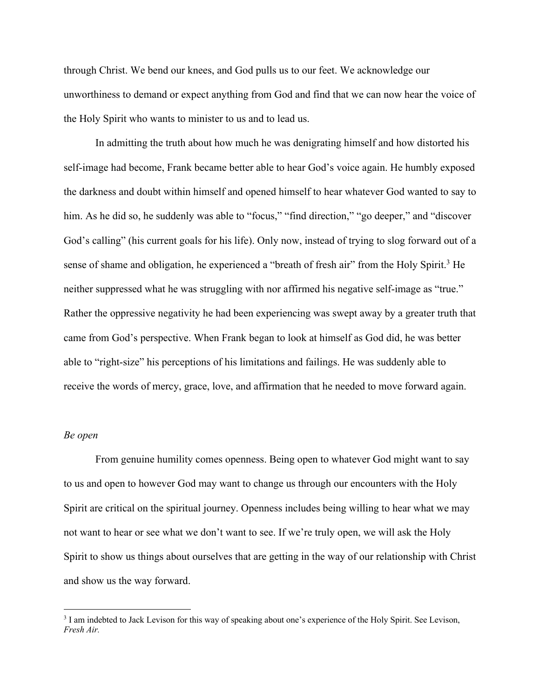through Christ. We bend our knees, and God pulls us to our feet. We acknowledge our unworthiness to demand or expect anything from God and find that we can now hear the voice of the Holy Spirit who wants to minister to us and to lead us.

In admitting the truth about how much he was denigrating himself and how distorted his self-image had become, Frank became better able to hear God's voice again. He humbly exposed the darkness and doubt within himself and opened himself to hear whatever God wanted to say to him. As he did so, he suddenly was able to "focus," "find direction," "go deeper," and "discover God's calling" (his current goals for his life). Only now, instead of trying to slog forward out of a sense of shame and obligation, he experienced a "breath of fresh air" from the Holy Spirit.<sup>3</sup> He neither suppressed what he was struggling with nor affirmed his negative self-image as "true." Rather the oppressive negativity he had been experiencing was swept away by a greater truth that came from God's perspective. When Frank began to look at himself as God did, he was better able to "right-size" his perceptions of his limitations and failings. He was suddenly able to receive the words of mercy, grace, love, and affirmation that he needed to move forward again.

#### *Be open*

 $\overline{a}$ 

From genuine humility comes openness. Being open to whatever God might want to say to us and open to however God may want to change us through our encounters with the Holy Spirit are critical on the spiritual journey. Openness includes being willing to hear what we may not want to hear or see what we don't want to see. If we're truly open, we will ask the Holy Spirit to show us things about ourselves that are getting in the way of our relationship with Christ and show us the way forward.

<sup>&</sup>lt;sup>3</sup> I am indebted to Jack Levison for this way of speaking about one's experience of the Holy Spirit. See Levison, *Fresh Air.*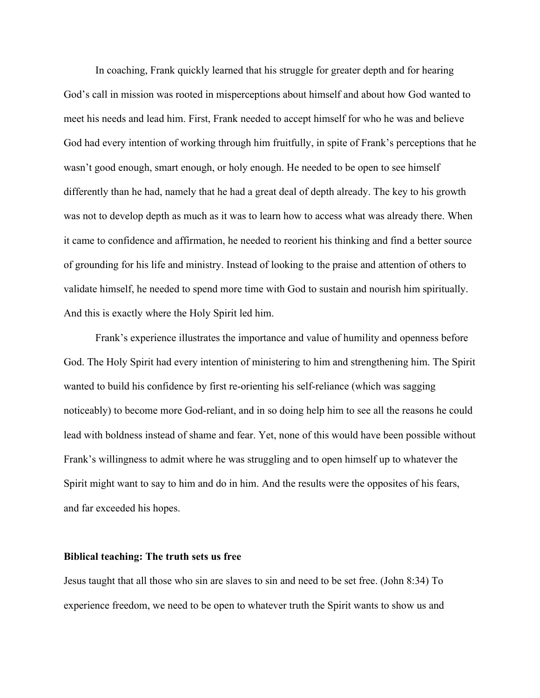In coaching, Frank quickly learned that his struggle for greater depth and for hearing God's call in mission was rooted in misperceptions about himself and about how God wanted to meet his needs and lead him. First, Frank needed to accept himself for who he was and believe God had every intention of working through him fruitfully, in spite of Frank's perceptions that he wasn't good enough, smart enough, or holy enough. He needed to be open to see himself differently than he had, namely that he had a great deal of depth already. The key to his growth was not to develop depth as much as it was to learn how to access what was already there. When it came to confidence and affirmation, he needed to reorient his thinking and find a better source of grounding for his life and ministry. Instead of looking to the praise and attention of others to validate himself, he needed to spend more time with God to sustain and nourish him spiritually. And this is exactly where the Holy Spirit led him.

Frank's experience illustrates the importance and value of humility and openness before God. The Holy Spirit had every intention of ministering to him and strengthening him. The Spirit wanted to build his confidence by first re-orienting his self-reliance (which was sagging noticeably) to become more God-reliant, and in so doing help him to see all the reasons he could lead with boldness instead of shame and fear. Yet, none of this would have been possible without Frank's willingness to admit where he was struggling and to open himself up to whatever the Spirit might want to say to him and do in him. And the results were the opposites of his fears, and far exceeded his hopes.

#### **Biblical teaching: The truth sets us free**

Jesus taught that all those who sin are slaves to sin and need to be set free. (John 8:34) To experience freedom, we need to be open to whatever truth the Spirit wants to show us and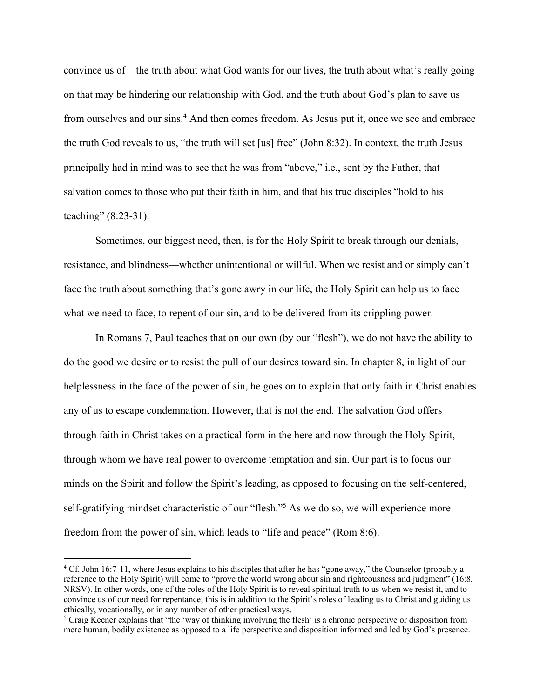convince us of—the truth about what God wants for our lives, the truth about what's really going on that may be hindering our relationship with God, and the truth about God's plan to save us from ourselves and our sins.4 And then comes freedom. As Jesus put it, once we see and embrace the truth God reveals to us, "the truth will set [us] free" (John 8:32). In context, the truth Jesus principally had in mind was to see that he was from "above," i.e., sent by the Father, that salvation comes to those who put their faith in him, and that his true disciples "hold to his teaching" (8:23-31).

Sometimes, our biggest need, then, is for the Holy Spirit to break through our denials, resistance, and blindness—whether unintentional or willful. When we resist and or simply can't face the truth about something that's gone awry in our life, the Holy Spirit can help us to face what we need to face, to repent of our sin, and to be delivered from its crippling power.

In Romans 7, Paul teaches that on our own (by our "flesh"), we do not have the ability to do the good we desire or to resist the pull of our desires toward sin. In chapter 8, in light of our helplessness in the face of the power of sin, he goes on to explain that only faith in Christ enables any of us to escape condemnation. However, that is not the end. The salvation God offers through faith in Christ takes on a practical form in the here and now through the Holy Spirit, through whom we have real power to overcome temptation and sin. Our part is to focus our minds on the Spirit and follow the Spirit's leading, as opposed to focusing on the self-centered, self-gratifying mindset characteristic of our "flesh."5 As we do so, we will experience more freedom from the power of sin, which leads to "life and peace" (Rom 8:6).

<sup>4</sup> Cf. John 16:7-11, where Jesus explains to his disciples that after he has "gone away," the Counselor (probably a reference to the Holy Spirit) will come to "prove the world wrong about sin and righteousness and judgment" (16:8, NRSV). In other words, one of the roles of the Holy Spirit is to reveal spiritual truth to us when we resist it, and to convince us of our need for repentance; this is in addition to the Spirit's roles of leading us to Christ and guiding us ethically, vocationally, or in any number of other practical ways.

<sup>&</sup>lt;sup>5</sup> Craig Keener explains that "the 'way of thinking involving the flesh' is a chronic perspective or disposition from mere human, bodily existence as opposed to a life perspective and disposition informed and led by God's presence.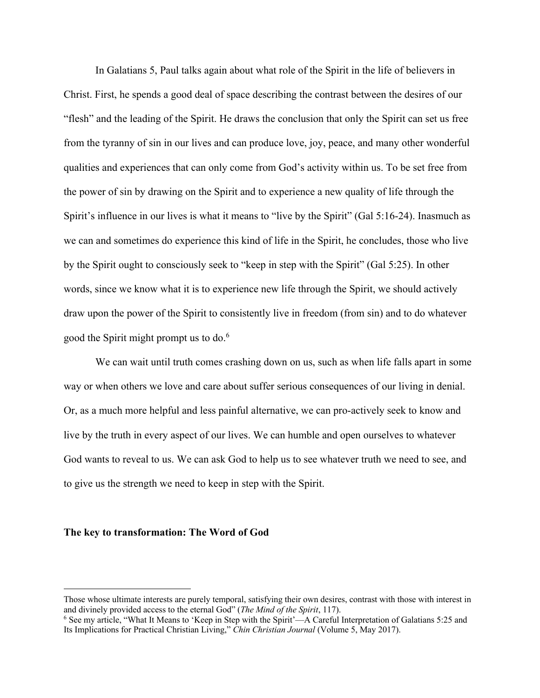In Galatians 5, Paul talks again about what role of the Spirit in the life of believers in Christ. First, he spends a good deal of space describing the contrast between the desires of our "flesh" and the leading of the Spirit. He draws the conclusion that only the Spirit can set us free from the tyranny of sin in our lives and can produce love, joy, peace, and many other wonderful qualities and experiences that can only come from God's activity within us. To be set free from the power of sin by drawing on the Spirit and to experience a new quality of life through the Spirit's influence in our lives is what it means to "live by the Spirit" (Gal 5:16-24). Inasmuch as we can and sometimes do experience this kind of life in the Spirit, he concludes, those who live by the Spirit ought to consciously seek to "keep in step with the Spirit" (Gal 5:25). In other words, since we know what it is to experience new life through the Spirit, we should actively draw upon the power of the Spirit to consistently live in freedom (from sin) and to do whatever good the Spirit might prompt us to do.<sup>6</sup>

We can wait until truth comes crashing down on us, such as when life falls apart in some way or when others we love and care about suffer serious consequences of our living in denial. Or, as a much more helpful and less painful alternative, we can pro-actively seek to know and live by the truth in every aspect of our lives. We can humble and open ourselves to whatever God wants to reveal to us. We can ask God to help us to see whatever truth we need to see, and to give us the strength we need to keep in step with the Spirit.

### **The key to transformation: The Word of God**

Those whose ultimate interests are purely temporal, satisfying their own desires, contrast with those with interest in and divinely provided access to the eternal God" (*The Mind of the Spirit*, 117).

<sup>6</sup> See my article, "What It Means to 'Keep in Step with the Spirit'—A Careful Interpretation of Galatians 5:25 and Its Implications for Practical Christian Living," *Chin Christian Journal* (Volume 5, May 2017).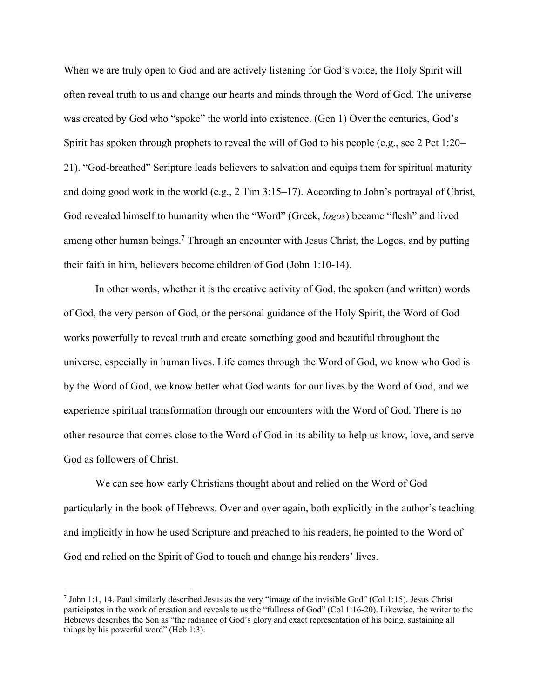When we are truly open to God and are actively listening for God's voice, the Holy Spirit will often reveal truth to us and change our hearts and minds through the Word of God. The universe was created by God who "spoke" the world into existence. (Gen 1) Over the centuries, God's Spirit has spoken through prophets to reveal the will of God to his people (e.g., see 2 Pet 1:20– 21). "God-breathed" Scripture leads believers to salvation and equips them for spiritual maturity and doing good work in the world (e.g., 2 Tim 3:15–17). According to John's portrayal of Christ, God revealed himself to humanity when the "Word" (Greek, *logos*) became "flesh" and lived among other human beings.<sup>7</sup> Through an encounter with Jesus Christ, the Logos, and by putting their faith in him, believers become children of God (John 1:10-14).

In other words, whether it is the creative activity of God, the spoken (and written) words of God, the very person of God, or the personal guidance of the Holy Spirit, the Word of God works powerfully to reveal truth and create something good and beautiful throughout the universe, especially in human lives. Life comes through the Word of God, we know who God is by the Word of God, we know better what God wants for our lives by the Word of God, and we experience spiritual transformation through our encounters with the Word of God. There is no other resource that comes close to the Word of God in its ability to help us know, love, and serve God as followers of Christ.

We can see how early Christians thought about and relied on the Word of God particularly in the book of Hebrews. Over and over again, both explicitly in the author's teaching and implicitly in how he used Scripture and preached to his readers, he pointed to the Word of God and relied on the Spirit of God to touch and change his readers' lives.

 $^7$  John 1:1, 14. Paul similarly described Jesus as the very "image of the invisible God" (Col 1:15). Jesus Christ participates in the work of creation and reveals to us the "fullness of God" (Col 1:16-20). Likewise, the writer to the Hebrews describes the Son as "the radiance of God's glory and exact representation of his being, sustaining all things by his powerful word" (Heb 1:3).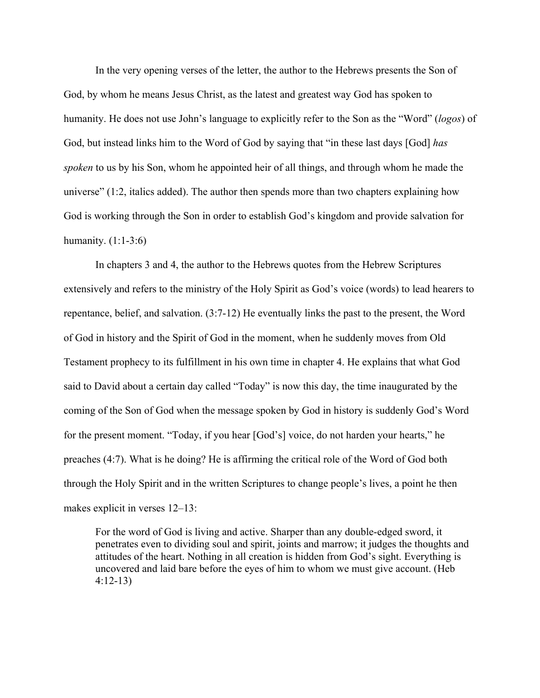In the very opening verses of the letter, the author to the Hebrews presents the Son of God, by whom he means Jesus Christ, as the latest and greatest way God has spoken to humanity. He does not use John's language to explicitly refer to the Son as the "Word" (*logos*) of God, but instead links him to the Word of God by saying that "in these last days [God] *has spoken* to us by his Son, whom he appointed heir of all things, and through whom he made the universe" (1:2, italics added). The author then spends more than two chapters explaining how God is working through the Son in order to establish God's kingdom and provide salvation for humanity.  $(1:1-3:6)$ 

In chapters 3 and 4, the author to the Hebrews quotes from the Hebrew Scriptures extensively and refers to the ministry of the Holy Spirit as God's voice (words) to lead hearers to repentance, belief, and salvation. (3:7-12) He eventually links the past to the present, the Word of God in history and the Spirit of God in the moment, when he suddenly moves from Old Testament prophecy to its fulfillment in his own time in chapter 4. He explains that what God said to David about a certain day called "Today" is now this day, the time inaugurated by the coming of the Son of God when the message spoken by God in history is suddenly God's Word for the present moment. "Today, if you hear [God's] voice, do not harden your hearts," he preaches (4:7). What is he doing? He is affirming the critical role of the Word of God both through the Holy Spirit and in the written Scriptures to change people's lives, a point he then makes explicit in verses 12–13:

For the word of God is living and active. Sharper than any double-edged sword, it penetrates even to dividing soul and spirit, joints and marrow; it judges the thoughts and attitudes of the heart. Nothing in all creation is hidden from God's sight. Everything is uncovered and laid bare before the eyes of him to whom we must give account. (Heb 4:12-13)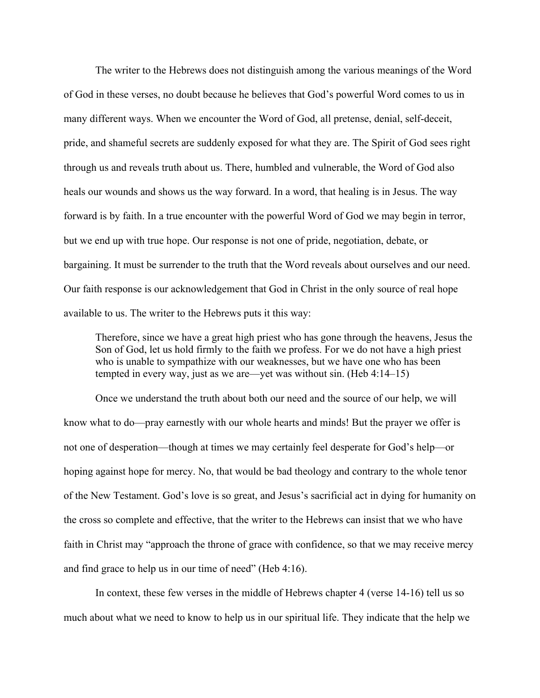The writer to the Hebrews does not distinguish among the various meanings of the Word of God in these verses, no doubt because he believes that God's powerful Word comes to us in many different ways. When we encounter the Word of God, all pretense, denial, self-deceit, pride, and shameful secrets are suddenly exposed for what they are. The Spirit of God sees right through us and reveals truth about us. There, humbled and vulnerable, the Word of God also heals our wounds and shows us the way forward. In a word, that healing is in Jesus. The way forward is by faith. In a true encounter with the powerful Word of God we may begin in terror, but we end up with true hope. Our response is not one of pride, negotiation, debate, or bargaining. It must be surrender to the truth that the Word reveals about ourselves and our need. Our faith response is our acknowledgement that God in Christ in the only source of real hope available to us. The writer to the Hebrews puts it this way:

Therefore, since we have a great high priest who has gone through the heavens, Jesus the Son of God, let us hold firmly to the faith we profess. For we do not have a high priest who is unable to sympathize with our weaknesses, but we have one who has been tempted in every way, just as we are—yet was without sin. (Heb 4:14–15)

Once we understand the truth about both our need and the source of our help, we will know what to do—pray earnestly with our whole hearts and minds! But the prayer we offer is not one of desperation—though at times we may certainly feel desperate for God's help—or hoping against hope for mercy. No, that would be bad theology and contrary to the whole tenor of the New Testament. God's love is so great, and Jesus's sacrificial act in dying for humanity on the cross so complete and effective, that the writer to the Hebrews can insist that we who have faith in Christ may "approach the throne of grace with confidence, so that we may receive mercy and find grace to help us in our time of need" (Heb 4:16).

In context, these few verses in the middle of Hebrews chapter 4 (verse 14-16) tell us so much about what we need to know to help us in our spiritual life. They indicate that the help we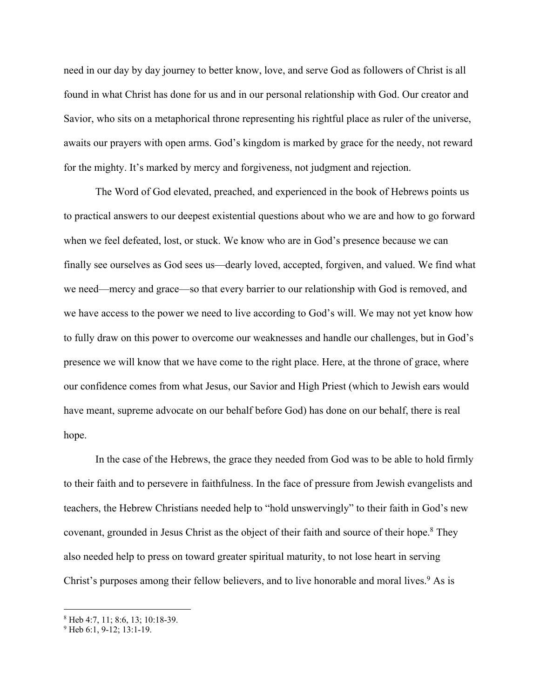need in our day by day journey to better know, love, and serve God as followers of Christ is all found in what Christ has done for us and in our personal relationship with God. Our creator and Savior, who sits on a metaphorical throne representing his rightful place as ruler of the universe, awaits our prayers with open arms. God's kingdom is marked by grace for the needy, not reward for the mighty. It's marked by mercy and forgiveness, not judgment and rejection.

The Word of God elevated, preached, and experienced in the book of Hebrews points us to practical answers to our deepest existential questions about who we are and how to go forward when we feel defeated, lost, or stuck. We know who are in God's presence because we can finally see ourselves as God sees us—dearly loved, accepted, forgiven, and valued. We find what we need—mercy and grace—so that every barrier to our relationship with God is removed, and we have access to the power we need to live according to God's will. We may not yet know how to fully draw on this power to overcome our weaknesses and handle our challenges, but in God's presence we will know that we have come to the right place. Here, at the throne of grace, where our confidence comes from what Jesus, our Savior and High Priest (which to Jewish ears would have meant, supreme advocate on our behalf before God) has done on our behalf, there is real hope.

In the case of the Hebrews, the grace they needed from God was to be able to hold firmly to their faith and to persevere in faithfulness. In the face of pressure from Jewish evangelists and teachers, the Hebrew Christians needed help to "hold unswervingly" to their faith in God's new covenant, grounded in Jesus Christ as the object of their faith and source of their hope.8 They also needed help to press on toward greater spiritual maturity, to not lose heart in serving Christ's purposes among their fellow believers, and to live honorable and moral lives.<sup>9</sup> As is

<sup>8</sup> Heb 4:7, 11; 8:6, 13; 10:18-39.

<sup>&</sup>lt;sup>9</sup> Heb 6:1, 9-12; 13:1-19.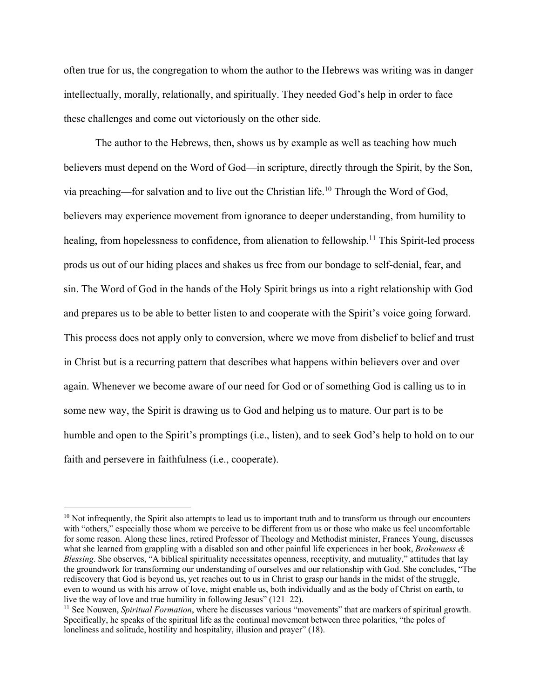often true for us, the congregation to whom the author to the Hebrews was writing was in danger intellectually, morally, relationally, and spiritually. They needed God's help in order to face these challenges and come out victoriously on the other side.

The author to the Hebrews, then, shows us by example as well as teaching how much believers must depend on the Word of God—in scripture, directly through the Spirit, by the Son, via preaching—for salvation and to live out the Christian life.10 Through the Word of God, believers may experience movement from ignorance to deeper understanding, from humility to healing, from hopelessness to confidence, from alienation to fellowship.<sup>11</sup> This Spirit-led process prods us out of our hiding places and shakes us free from our bondage to self-denial, fear, and sin. The Word of God in the hands of the Holy Spirit brings us into a right relationship with God and prepares us to be able to better listen to and cooperate with the Spirit's voice going forward. This process does not apply only to conversion, where we move from disbelief to belief and trust in Christ but is a recurring pattern that describes what happens within believers over and over again. Whenever we become aware of our need for God or of something God is calling us to in some new way, the Spirit is drawing us to God and helping us to mature. Our part is to be humble and open to the Spirit's promptings (i.e., listen), and to seek God's help to hold on to our faith and persevere in faithfulness (i.e., cooperate).

 $10$  Not infrequently, the Spirit also attempts to lead us to important truth and to transform us through our encounters with "others," especially those whom we perceive to be different from us or those who make us feel uncomfortable for some reason. Along these lines, retired Professor of Theology and Methodist minister, Frances Young, discusses what she learned from grappling with a disabled son and other painful life experiences in her book, *Brokenness & Blessing*. She observes, "A biblical spirituality necessitates openness, receptivity, and mutuality," attitudes that lay the groundwork for transforming our understanding of ourselves and our relationship with God. She concludes, "The rediscovery that God is beyond us, yet reaches out to us in Christ to grasp our hands in the midst of the struggle, even to wound us with his arrow of love, might enable us, both individually and as the body of Christ on earth, to live the way of love and true humility in following Jesus" (121–22).

<sup>&</sup>lt;sup>11</sup> See Nouwen, *Spiritual Formation*, where he discusses various "movements" that are markers of spiritual growth. Specifically, he speaks of the spiritual life as the continual movement between three polarities, "the poles of loneliness and solitude, hostility and hospitality, illusion and prayer" (18).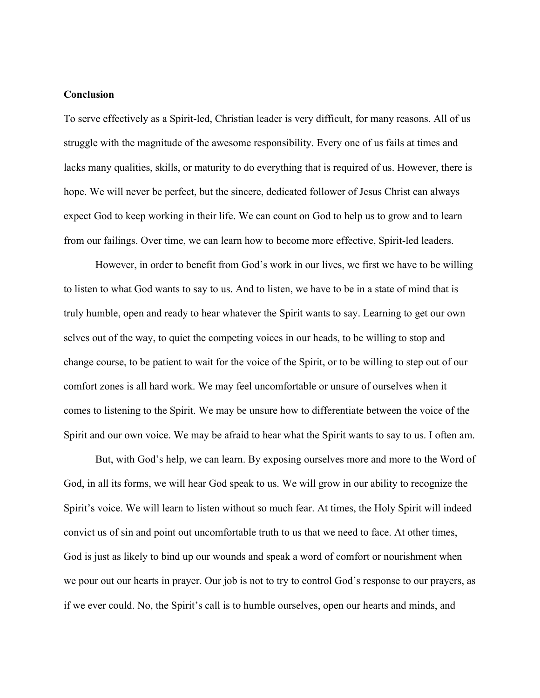## **Conclusion**

To serve effectively as a Spirit-led, Christian leader is very difficult, for many reasons. All of us struggle with the magnitude of the awesome responsibility. Every one of us fails at times and lacks many qualities, skills, or maturity to do everything that is required of us. However, there is hope. We will never be perfect, but the sincere, dedicated follower of Jesus Christ can always expect God to keep working in their life. We can count on God to help us to grow and to learn from our failings. Over time, we can learn how to become more effective, Spirit-led leaders.

However, in order to benefit from God's work in our lives, we first we have to be willing to listen to what God wants to say to us. And to listen, we have to be in a state of mind that is truly humble, open and ready to hear whatever the Spirit wants to say. Learning to get our own selves out of the way, to quiet the competing voices in our heads, to be willing to stop and change course, to be patient to wait for the voice of the Spirit, or to be willing to step out of our comfort zones is all hard work. We may feel uncomfortable or unsure of ourselves when it comes to listening to the Spirit. We may be unsure how to differentiate between the voice of the Spirit and our own voice. We may be afraid to hear what the Spirit wants to say to us. I often am.

But, with God's help, we can learn. By exposing ourselves more and more to the Word of God, in all its forms, we will hear God speak to us. We will grow in our ability to recognize the Spirit's voice. We will learn to listen without so much fear. At times, the Holy Spirit will indeed convict us of sin and point out uncomfortable truth to us that we need to face. At other times, God is just as likely to bind up our wounds and speak a word of comfort or nourishment when we pour out our hearts in prayer. Our job is not to try to control God's response to our prayers, as if we ever could. No, the Spirit's call is to humble ourselves, open our hearts and minds, and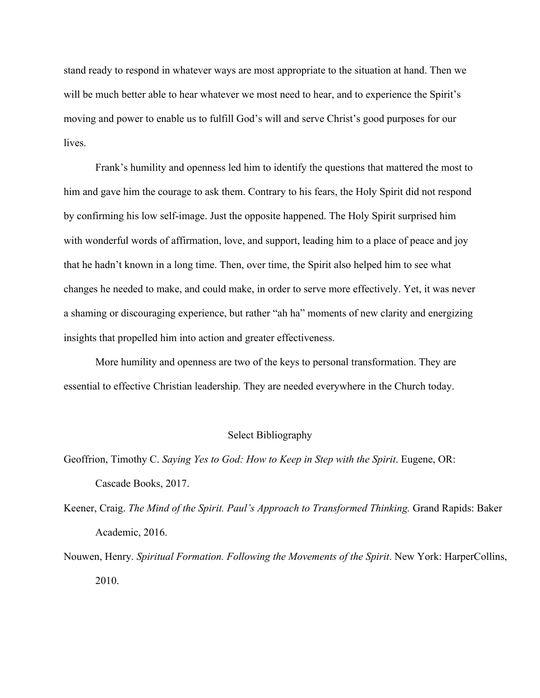stand ready to respond in whatever ways are most appropriate to the situation at hand. Then we will be much better able to hear whatever we most need to hear, and to experience the Spirit's moving and power to enable us to fulfill God's will and serve Christ's good purposes for our lives.

Frank's humility and openness led him to identify the questions that mattered the most to him and gave him the courage to ask them. Contrary to his fears, the Holy Spirit did not respond by confirming his low self-image. Just the opposite happened. The Holy Spirit surprised him with wonderful words of affirmation, love, and support, leading him to a place of peace and joy that he hadn't known in a long time. Then, over time, the Spirit also helped him to see what changes he needed to make, and could make, in order to serve more effectively. Yet, it was never a shaming or discouraging experience, but rather "ah ha" moments of new clarity and energizing insights that propelled him into action and greater effectiveness.

More humility and openness are two of the keys to personal transformation. They are essential to effective Christian leadership. They are needed everywhere in the Church today.

#### Select Bibliography

- Geoffrion, Timothy C. *Saying Yes to God: How to Keep in Step with the Spirit*. Eugene, OR: Cascade Books, 2017.
- Keener, Craig. *The Mind of the Spirit. Paul's Approach to Transformed Thinking.* Grand Rapids: Baker Academic, 2016.
- Nouwen, Henry. *Spiritual Formation. Following the Movements of the Spirit*. New York: HarperCollins, 2010.